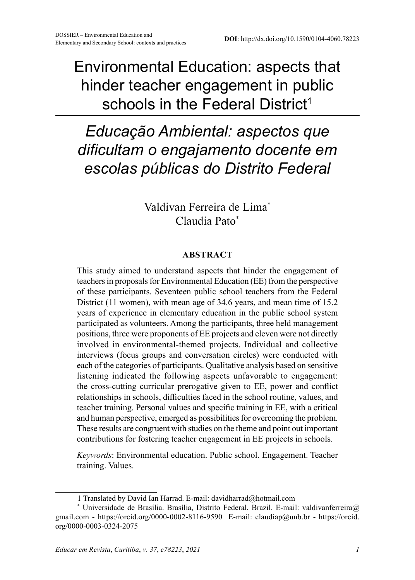Environmental Education: aspects that hinder teacher engagement in public schools in the Federal District<sup>1</sup>

# *Educação Ambiental: aspectos que dificultam o engajamento docente em escolas públicas do Distrito Federal*

Valdivan Ferreira de Lima\* Claudia Pato\*

#### **ABSTRACT**

This study aimed to understand aspects that hinder the engagement of teachers in proposals for Environmental Education (EE) from the perspective of these participants. Seventeen public school teachers from the Federal District (11 women), with mean age of 34.6 years, and mean time of 15.2 years of experience in elementary education in the public school system participated as volunteers. Among the participants, three held management positions, three were proponents of EE projects and eleven were not directly involved in environmental-themed projects. Individual and collective interviews (focus groups and conversation circles) were conducted with each of the categories of participants. Qualitative analysis based on sensitive listening indicated the following aspects unfavorable to engagement: the cross-cutting curricular prerogative given to EE, power and conflict relationships in schools, difficulties faced in the school routine, values, and teacher training. Personal values and specific training in EE, with a critical and human perspective, emerged as possibilities for overcoming the problem. These results are congruent with studies on the theme and point out important contributions for fostering teacher engagement in EE projects in schools.

*Keywords*: Environmental education. Public school. Engagement. Teacher training. Values.

<sup>1</sup> Translated by David Ian Harrad. E-mail: davidharrad@hotmail.com

<sup>\*</sup> Universidade de Brasília. Brasília, Distrito Federal, Brazil. E-mail: [valdivanferreira@](mailto:valdivanferreira@gmail.com) [gmail.com](mailto:valdivanferreira@gmail.com) - https://orcid.org/0000-0002-8116-9590 E-mail: [claudiap@unb.br](mailto:claudiap@unb.com) - https://orcid. org/0000-0003-0324-2075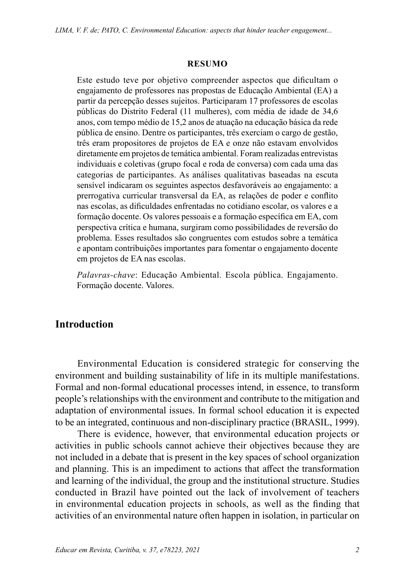#### **RESUMO**

Este estudo teve por objetivo compreender aspectos que dificultam o engajamento de professores nas propostas de Educação Ambiental (EA) a partir da percepção desses sujeitos. Participaram 17 professores de escolas públicas do Distrito Federal (11 mulheres), com média de idade de 34,6 anos, com tempo médio de 15,2 anos de atuação na educação básica da rede pública de ensino. Dentre os participantes, três exerciam o cargo de gestão, três eram propositores de projetos de EA e onze não estavam envolvidos diretamente em projetos de temática ambiental. Foram realizadas entrevistas individuais e coletivas (grupo focal e roda de conversa) com cada uma das categorias de participantes. As análises qualitativas baseadas na escuta sensível indicaram os seguintes aspectos desfavoráveis ao engajamento: a prerrogativa curricular transversal da EA, as relações de poder e conflito nas escolas, as dificuldades enfrentadas no cotidiano escolar, os valores e a formação docente. Os valores pessoais e a formação específica em EA, com perspectiva crítica e humana, surgiram como possibilidades de reversão do problema. Esses resultados são congruentes com estudos sobre a temática e apontam contribuições importantes para fomentar o engajamento docente em projetos de EA nas escolas.

*Palavras-chave*: Educação Ambiental. Escola pública. Engajamento. Formação docente. Valores.

#### **Introduction**

Environmental Education is considered strategic for conserving the environment and building sustainability of life in its multiple manifestations. Formal and non-formal educational processes intend, in essence, to transform people's relationships with the environment and contribute to the mitigation and adaptation of environmental issues. In formal school education it is expected to be an integrated, continuous and non-disciplinary practice (BRASIL, 1999).

There is evidence, however, that environmental education projects or activities in public schools cannot achieve their objectives because they are not included in a debate that is present in the key spaces of school organization and planning. This is an impediment to actions that affect the transformation and learning of the individual, the group and the institutional structure. Studies conducted in Brazil have pointed out the lack of involvement of teachers in environmental education projects in schools, as well as the finding that activities of an environmental nature often happen in isolation, in particular on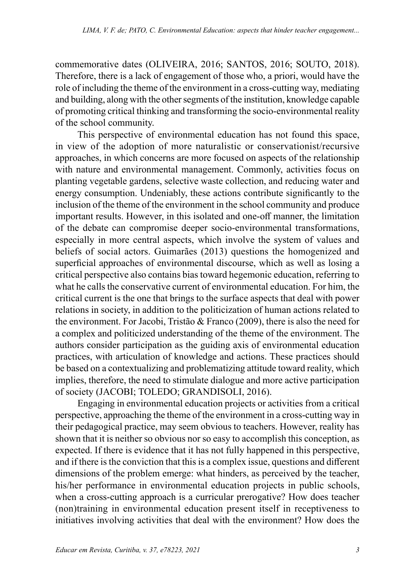commemorative dates (OLIVEIRA, 2016; SANTOS, 2016; SOUTO, 2018). Therefore, there is a lack of engagement of those who, a priori, would have the role of including the theme of the environment in a cross-cutting way, mediating and building, along with the other segments of the institution, knowledge capable of promoting critical thinking and transforming the socio-environmental reality of the school community.

This perspective of environmental education has not found this space, in view of the adoption of more naturalistic or conservationist/recursive approaches, in which concerns are more focused on aspects of the relationship with nature and environmental management. Commonly, activities focus on planting vegetable gardens, selective waste collection, and reducing water and energy consumption. Undeniably, these actions contribute significantly to the inclusion of the theme of the environment in the school community and produce important results. However, in this isolated and one-off manner, the limitation of the debate can compromise deeper socio-environmental transformations, especially in more central aspects, which involve the system of values and beliefs of social actors. Guimarães (2013) questions the homogenized and superficial approaches of environmental discourse, which as well as losing a critical perspective also contains bias toward hegemonic education, referring to what he calls the conservative current of environmental education. For him, the critical current is the one that brings to the surface aspects that deal with power relations in society, in addition to the politicization of human actions related to the environment. For Jacobi, Tristão & Franco (2009), there is also the need for a complex and politicized understanding of the theme of the environment. The authors consider participation as the guiding axis of environmental education practices, with articulation of knowledge and actions. These practices should be based on a contextualizing and problematizing attitude toward reality, which implies, therefore, the need to stimulate dialogue and more active participation of society (JACOBI; TOLEDO; GRANDISOLI, 2016).

Engaging in environmental education projects or activities from a critical perspective, approaching the theme of the environment in a cross-cutting way in their pedagogical practice, may seem obvious to teachers. However, reality has shown that it is neither so obvious nor so easy to accomplish this conception, as expected. If there is evidence that it has not fully happened in this perspective, and if there is the conviction that this is a complex issue, questions and different dimensions of the problem emerge: what hinders, as perceived by the teacher, his/her performance in environmental education projects in public schools, when a cross-cutting approach is a curricular prerogative? How does teacher (non)training in environmental education present itself in receptiveness to initiatives involving activities that deal with the environment? How does the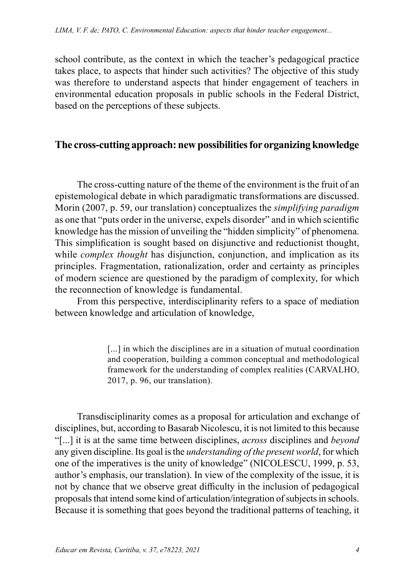school contribute, as the context in which the teacher's pedagogical practice takes place, to aspects that hinder such activities? The objective of this study was therefore to understand aspects that hinder engagement of teachers in environmental education proposals in public schools in the Federal District, based on the perceptions of these subjects.

## **The cross-cutting approach: new possibilities for organizing knowledge**

The cross-cutting nature of the theme of the environment is the fruit of an epistemological debate in which paradigmatic transformations are discussed. Morin (2007, p. 59, our translation) conceptualizes the *simplifying paradigm* as one that "puts order in the universe, expels disorder" and in which scientific knowledge has the mission of unveiling the "hidden simplicity" of phenomena. This simplification is sought based on disjunctive and reductionist thought, while *complex thought* has disjunction, conjunction, and implication as its principles. Fragmentation, rationalization, order and certainty as principles of modern science are questioned by the paradigm of complexity, for which the reconnection of knowledge is fundamental.

From this perspective, interdisciplinarity refers to a space of mediation between knowledge and articulation of knowledge,

> [...] in which the disciplines are in a situation of mutual coordination and cooperation, building a common conceptual and methodological framework for the understanding of complex realities (CARVALHO, 2017, p. 96, our translation).

Transdisciplinarity comes as a proposal for articulation and exchange of disciplines, but, according to Basarab Nicolescu, it is not limited to this because "[...] it is at the same time between disciplines, *across* disciplines and *beyond* any given discipline. Its goal is the *understanding of the present world*, for which one of the imperatives is the unity of knowledge" (NICOLESCU, 1999, p. 53, author's emphasis, our translation). In view of the complexity of the issue, it is not by chance that we observe great difficulty in the inclusion of pedagogical proposals that intend some kind of articulation/integration of subjects in schools. Because it is something that goes beyond the traditional patterns of teaching, it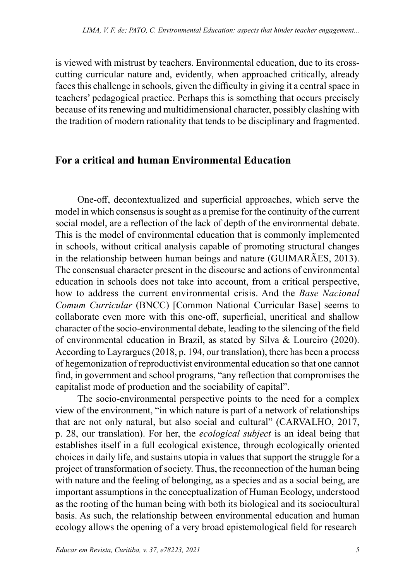is viewed with mistrust by teachers. Environmental education, due to its crosscutting curricular nature and, evidently, when approached critically, already faces this challenge in schools, given the difficulty in giving it a central space in teachers' pedagogical practice. Perhaps this is something that occurs precisely because of its renewing and multidimensional character, possibly clashing with the tradition of modern rationality that tends to be disciplinary and fragmented.

#### **For a critical and human Environmental Education**

One-off, decontextualized and superficial approaches, which serve the model in which consensus is sought as a premise for the continuity of the current social model, are a reflection of the lack of depth of the environmental debate. This is the model of environmental education that is commonly implemented in schools, without critical analysis capable of promoting structural changes in the relationship between human beings and nature (GUIMARÃES, 2013). The consensual character present in the discourse and actions of environmental education in schools does not take into account, from a critical perspective, how to address the current environmental crisis. And the *Base Nacional Comum Curricular* (BNCC) [Common National Curricular Base] seems to collaborate even more with this one-off, superficial, uncritical and shallow character of the socio-environmental debate, leading to the silencing of the field of environmental education in Brazil, as stated by Silva & Loureiro (2020). According to Layrargues (2018, p. 194, our translation), there has been a process of hegemonization of reproductivist environmental education so that one cannot find, in government and school programs, "any reflection that compromises the capitalist mode of production and the sociability of capital".

The socio-environmental perspective points to the need for a complex view of the environment, "in which nature is part of a network of relationships that are not only natural, but also social and cultural" (CARVALHO, 2017, p. 28, our translation). For her, the *ecological subject* is an ideal being that establishes itself in a full ecological existence, through ecologically oriented choices in daily life, and sustains utopia in values that support the struggle for a project of transformation of society. Thus, the reconnection of the human being with nature and the feeling of belonging, as a species and as a social being, are important assumptions in the conceptualization of Human Ecology, understood as the rooting of the human being with both its biological and its sociocultural basis. As such, the relationship between environmental education and human ecology allows the opening of a very broad epistemological field for research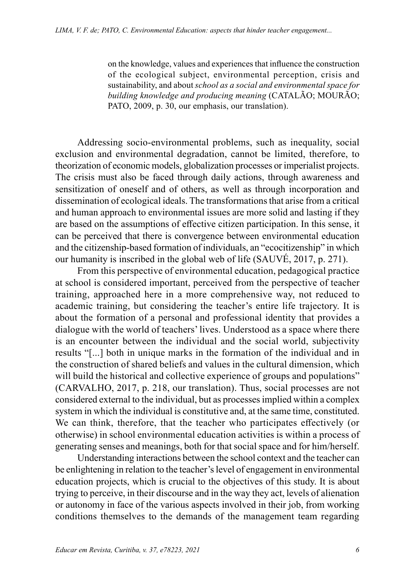on the knowledge, values and experiences that influence the construction of the ecological subject, environmental perception, crisis and sustainability, and about *school as a social and environmental space for building knowledge and producing meaning* (CATALÃO; MOURÃO; PATO, 2009, p. 30, our emphasis, our translation).

Addressing socio-environmental problems, such as inequality, social exclusion and environmental degradation, cannot be limited, therefore, to theorization of economic models, globalization processes or imperialist projects. The crisis must also be faced through daily actions, through awareness and sensitization of oneself and of others, as well as through incorporation and dissemination of ecological ideals. The transformations that arise from a critical and human approach to environmental issues are more solid and lasting if they are based on the assumptions of effective citizen participation. In this sense, it can be perceived that there is convergence between environmental education and the citizenship-based formation of individuals, an "ecocitizenship" in which our humanity is inscribed in the global web of life (SAUVÉ, 2017, p. 271).

From this perspective of environmental education, pedagogical practice at school is considered important, perceived from the perspective of teacher training, approached here in a more comprehensive way, not reduced to academic training, but considering the teacher's entire life trajectory. It is about the formation of a personal and professional identity that provides a dialogue with the world of teachers' lives. Understood as a space where there is an encounter between the individual and the social world, subjectivity results "[...] both in unique marks in the formation of the individual and in the construction of shared beliefs and values in the cultural dimension, which will build the historical and collective experience of groups and populations" (CARVALHO, 2017, p. 218, our translation). Thus, social processes are not considered external to the individual, but as processes implied within a complex system in which the individual is constitutive and, at the same time, constituted. We can think, therefore, that the teacher who participates effectively (or otherwise) in school environmental education activities is within a process of generating senses and meanings, both for that social space and for him/herself.

Understanding interactions between the school context and the teacher can be enlightening in relation to the teacher's level of engagement in environmental education projects, which is crucial to the objectives of this study. It is about trying to perceive, in their discourse and in the way they act, levels of alienation or autonomy in face of the various aspects involved in their job, from working conditions themselves to the demands of the management team regarding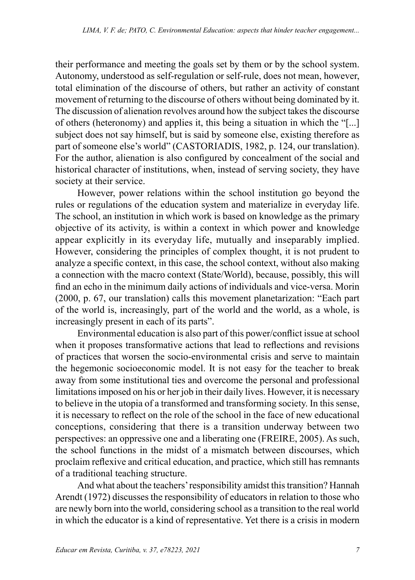their performance and meeting the goals set by them or by the school system. Autonomy, understood as self-regulation or self-rule, does not mean, however, total elimination of the discourse of others, but rather an activity of constant movement of returning to the discourse of others without being dominated by it. The discussion of alienation revolves around how the subject takes the discourse of others (heteronomy) and applies it, this being a situation in which the "[...] subject does not say himself, but is said by someone else, existing therefore as part of someone else's world" (CASTORIADIS, 1982, p. 124, our translation). For the author, alienation is also configured by concealment of the social and historical character of institutions, when, instead of serving society, they have society at their service.

However, power relations within the school institution go beyond the rules or regulations of the education system and materialize in everyday life. The school, an institution in which work is based on knowledge as the primary objective of its activity, is within a context in which power and knowledge appear explicitly in its everyday life, mutually and inseparably implied. However, considering the principles of complex thought, it is not prudent to analyze a specific context, in this case, the school context, without also making a connection with the macro context (State/World), because, possibly, this will find an echo in the minimum daily actions of individuals and vice-versa. Morin (2000, p. 67, our translation) calls this movement planetarization: "Each part of the world is, increasingly, part of the world and the world, as a whole, is increasingly present in each of its parts".

Environmental education is also part of this power/conflict issue at school when it proposes transformative actions that lead to reflections and revisions of practices that worsen the socio-environmental crisis and serve to maintain the hegemonic socioeconomic model. It is not easy for the teacher to break away from some institutional ties and overcome the personal and professional limitations imposed on his or her job in their daily lives. However, it is necessary to believe in the utopia of a transformed and transforming society. In this sense, it is necessary to reflect on the role of the school in the face of new educational conceptions, considering that there is a transition underway between two perspectives: an oppressive one and a liberating one (FREIRE, 2005). As such, the school functions in the midst of a mismatch between discourses, which proclaim reflexive and critical education, and practice, which still has remnants of a traditional teaching structure.

And what about the teachers' responsibility amidst this transition? Hannah Arendt (1972) discusses the responsibility of educators in relation to those who are newly born into the world, considering school as a transition to the real world in which the educator is a kind of representative. Yet there is a crisis in modern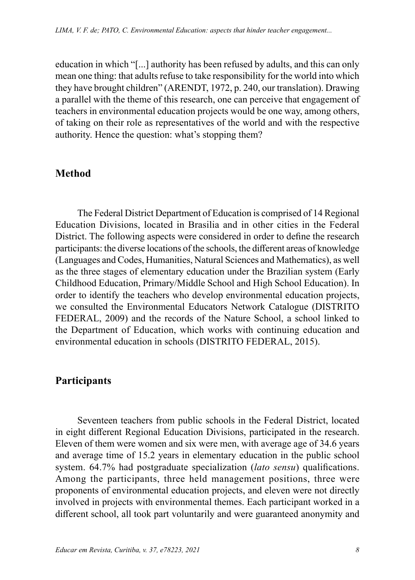education in which "[...] authority has been refused by adults, and this can only mean one thing: that adults refuse to take responsibility for the world into which they have brought children" (ARENDT, 1972, p. 240, our translation). Drawing a parallel with the theme of this research, one can perceive that engagement of teachers in environmental education projects would be one way, among others, of taking on their role as representatives of the world and with the respective authority. Hence the question: what's stopping them?

### **Method**

The Federal District Department of Education is comprised of 14 Regional Education Divisions, located in Brasilia and in other cities in the Federal District. The following aspects were considered in order to define the research participants: the diverse locations of the schools, the different areas of knowledge (Languages and Codes, Humanities, Natural Sciences and Mathematics), as well as the three stages of elementary education under the Brazilian system (Early Childhood Education, Primary/Middle School and High School Education). In order to identify the teachers who develop environmental education projects, we consulted the Environmental Educators Network Catalogue (DISTRITO FEDERAL, 2009) and the records of the Nature School, a school linked to the Department of Education, which works with continuing education and environmental education in schools (DISTRITO FEDERAL, 2015).

#### **Participants**

Seventeen teachers from public schools in the Federal District, located in eight different Regional Education Divisions, participated in the research. Eleven of them were women and six were men, with average age of 34.6 years and average time of 15.2 years in elementary education in the public school system. 64.7% had postgraduate specialization (*lato sensu*) qualifications. Among the participants, three held management positions, three were proponents of environmental education projects, and eleven were not directly involved in projects with environmental themes. Each participant worked in a different school, all took part voluntarily and were guaranteed anonymity and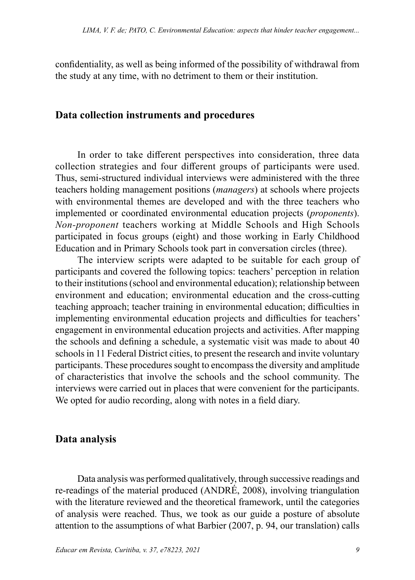confidentiality, as well as being informed of the possibility of withdrawal from the study at any time, with no detriment to them or their institution.

#### **Data collection instruments and procedures**

In order to take different perspectives into consideration, three data collection strategies and four different groups of participants were used. Thus, semi-structured individual interviews were administered with the three teachers holding management positions (*managers*) at schools where projects with environmental themes are developed and with the three teachers who implemented or coordinated environmental education projects (*proponents*). *Non-proponent* teachers working at Middle Schools and High Schools participated in focus groups (eight) and those working in Early Childhood Education and in Primary Schools took part in conversation circles (three).

The interview scripts were adapted to be suitable for each group of participants and covered the following topics: teachers' perception in relation to their institutions (school and environmental education); relationship between environment and education; environmental education and the cross-cutting teaching approach; teacher training in environmental education; difficulties in implementing environmental education projects and difficulties for teachers' engagement in environmental education projects and activities. After mapping the schools and defining a schedule, a systematic visit was made to about 40 schools in 11 Federal District cities, to present the research and invite voluntary participants. These procedures sought to encompass the diversity and amplitude of characteristics that involve the schools and the school community. The interviews were carried out in places that were convenient for the participants. We opted for audio recording, along with notes in a field diary.

#### **Data analysis**

Data analysis was performed qualitatively, through successive readings and re-readings of the material produced (ANDRÉ, 2008), involving triangulation with the literature reviewed and the theoretical framework, until the categories of analysis were reached. Thus, we took as our guide a posture of absolute attention to the assumptions of what Barbier (2007, p. 94, our translation) calls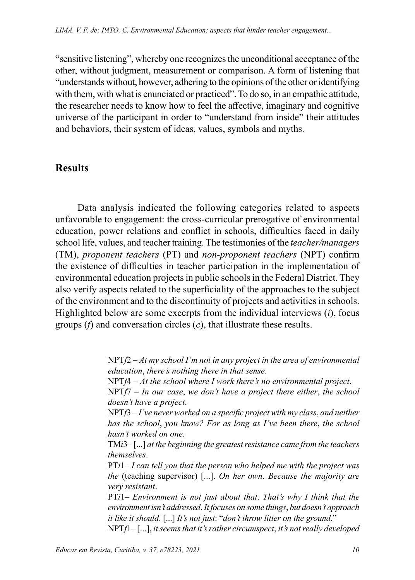"sensitive listening", whereby one recognizes the unconditional acceptance of the other, without judgment, measurement or comparison. A form of listening that "understands without, however, adhering to the opinions of the other or identifying with them, with what is enunciated or practiced". To do so, in an empathic attitude, the researcher needs to know how to feel the affective, imaginary and cognitive universe of the participant in order to "understand from inside" their attitudes and behaviors, their system of ideas, values, symbols and myths.

# **Results**

Data analysis indicated the following categories related to aspects unfavorable to engagement: the cross-curricular prerogative of environmental education, power relations and conflict in schools, difficulties faced in daily school life, values, and teacher training. The testimonies of the *teacher/managers* (TM), *proponent teachers* (PT) and *non-proponent teachers* (NPT) confirm the existence of difficulties in teacher participation in the implementation of environmental education projects in public schools in the Federal District. They also verify aspects related to the superficiality of the approaches to the subject of the environment and to the discontinuity of projects and activities in schools. Highlighted below are some excerpts from the individual interviews (*i*), focus groups (*f*) and conversation circles (*c*), that illustrate these results.

> NPT*f*2 – *At my school I'm not in any project in the area of environmental education*, *there's nothing there in that sense*.

NPT*f*4 – *At the school where I work there's no environmental project*.

NPT*f*7 – *In our case*, *we don't have a project there either*, *the school doesn't have a project*.

NPT*f*3 – *I've never worked on a specific project with my class*, *and neither has the school*, *you know? For as long as I've been there*, *the school hasn't worked on one*.

TM*i*3– [...] *at the beginning the greatest resistance came from the teachers themselves*.

PT*i*1– *I can tell you that the person who helped me with the project was the* (teaching supervisor) [...]. *On her own*. *Because the majority are very resistant*.

PT*i*1– *Environment is not just about that*. *That's why I think that the environment isn't addressed*. *It focuses on some things*, *but doesn't approach it like it should*. [...] *It's not just*: "*don't throw litter on the ground*."

NPT*f*1– [...], *it seems that it's rather circumspect*, *it's not really developed*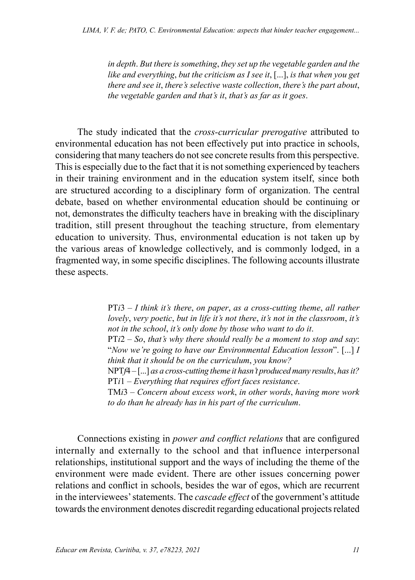*in depth*. *But there is something*, *they set up the vegetable garden and the like and everything*, *but the criticism as I see it*, [...], *is that when you get there and see it*, *there's selective waste collection*, *there's the part about*, *the vegetable garden and that's it*, *that's as far as it goes*.

The study indicated that the *cross-curricular prerogative* attributed to environmental education has not been effectively put into practice in schools, considering that many teachers do not see concrete results from this perspective. This is especially due to the fact that it is not something experienced by teachers in their training environment and in the education system itself, since both are structured according to a disciplinary form of organization. The central debate, based on whether environmental education should be continuing or not, demonstrates the difficulty teachers have in breaking with the disciplinary tradition, still present throughout the teaching structure, from elementary education to university. Thus, environmental education is not taken up by the various areas of knowledge collectively, and is commonly lodged, in a fragmented way, in some specific disciplines. The following accounts illustrate these aspects.

> PT*i*3 – *I think it's there*, *on paper*, *as a cross-cutting theme*, *all rather lovely*, *very poetic*, *but in life it's not there*, *it's not in the classroom*, *it's not in the school*, *it's only done by those who want to do it*. PT*i*2 – *So*, *that's why there should really be a moment to stop and say*: "*Now we're going to have our Environmental Education lesson*". [...] *I think that it should be on the curriculum*, *you know?*

> NPT*f*4 – [...] *as a cross-cutting theme it hasn't produced many results*, *has it?* PT*i*1 – *Everything that requires effort faces resistance*.

> TM*i*3 – *Concern about excess work*, *in other words*, *having more work to do than he already has in his part of the curriculum*.

Connections existing in *power and conflict relations* that are configured internally and externally to the school and that influence interpersonal relationships, institutional support and the ways of including the theme of the environment were made evident. There are other issues concerning power relations and conflict in schools, besides the war of egos, which are recurrent in the interviewees' statements. The *cascade effect* of the government's attitude towards the environment denotes discredit regarding educational projects related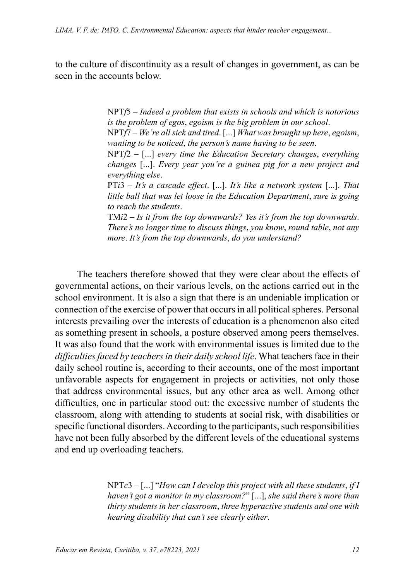to the culture of discontinuity as a result of changes in government, as can be seen in the accounts below.

> NPT*f*5 – *Indeed a problem that exists in schools and which is notorious is the problem of egos*, *egoism is the big problem in our school*.

> NPT*f*7 – *We're all sick and tired*. [...] *What was brought up here*, *egoism*, *wanting to be noticed*, *the person's name having to be seen*.

> NPT*f*2 – [...] *every time the Education Secretary changes*, *everything changes* [...]. *Every year you're a guinea pig for a new project and everything else*.

> PT*i*3 – *It's a cascade effect*. [...]. *It's like a network system* [...]. *That little ball that was let loose in the Education Department*, *sure is going to reach the students*.

> TM*i*2 – *Is it from the top downwards? Yes it's from the top downwards*. *There's no longer time to discuss things*, *you know*, *round table*, *not any more*. *It's from the top downwards*, *do you understand?*

The teachers therefore showed that they were clear about the effects of governmental actions, on their various levels, on the actions carried out in the school environment. It is also a sign that there is an undeniable implication or connection of the exercise of power that occurs in all political spheres. Personal interests prevailing over the interests of education is a phenomenon also cited as something present in schools, a posture observed among peers themselves. It was also found that the work with environmental issues is limited due to the *difficulties faced by teachers in their daily school life*. What teachers face in their daily school routine is, according to their accounts, one of the most important unfavorable aspects for engagement in projects or activities, not only those that address environmental issues, but any other area as well. Among other difficulties, one in particular stood out: the excessive number of students the classroom, along with attending to students at social risk, with disabilities or specific functional disorders. According to the participants, such responsibilities have not been fully absorbed by the different levels of the educational systems and end up overloading teachers.

> NPT*c*3 – [...] "*How can I develop this project with all these students*, *if I haven't got a monitor in my classroom?*" [...], *she said there's more than thirty students in her classroom*, *three hyperactive students and one with hearing disability that can't see clearly either*.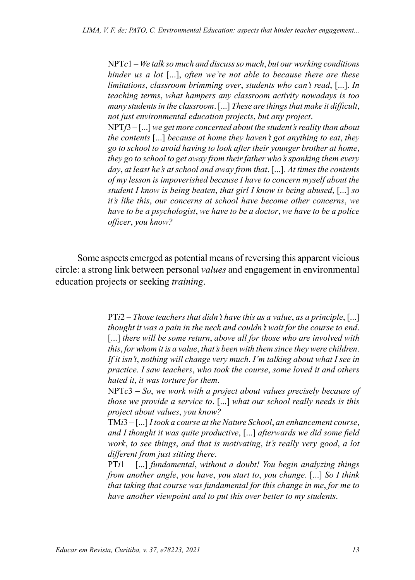NPT*c*1 – *We talk so much and discuss so much*, *but our working conditions hinder us a lot* [...], *often we're not able to because there are these limitations*, *classroom brimming over*, *students who can't read*, [...]. *In teaching terms*, *what hampers any classroom activity nowadays is too many students in the classroom*. [...] *These are things that make it difficult*, *not just environmental education projects*, *but any project*.

NPT*f*3 – [...] *we get more concerned about the student's reality than about the contents* [...] *because at home they haven't got anything to eat*, *they go to school to avoid having to look after their younger brother at home*, *they go to school to get away from their father who's spanking them every day*, *at least he's at school and away from that*. [...]. *At times the contents of my lesson is impoverished because I have to concern myself about the student I know is being beaten*, *that girl I know is being abused*, [...] *so it's like this*, *our concerns at school have become other concerns*, *we have to be a psychologist*, *we have to be a doctor*, *we have to be a police officer*, *you know?*

Some aspects emerged as potential means of reversing this apparent vicious circle: a strong link between personal *values* and engagement in environmental education projects or seeking *training*.

> PT*i*2 – *Those teachers that didn't have this as a value*, *as a principle*, [...] *thought it was a pain in the neck and couldn't wait for the course to end*. [...] *there will be some return, above all for those who are involved with this*, *for whom it is a value*, *that's been with them since they were children*. *If it isn't*, *nothing will change very much*. *I'm talking about what I see in practice*. *I saw teachers*, *who took the course*, *some loved it and others hated it*, *it was torture for them*.

> NPT*c*3 – *So*, *we work with a project about values precisely because of those we provide a service to*. [...] *what our school really needs is this project about values*, *you know?*

> TM*i*3 – [...] *I took a course at the Nature School*, *an enhancement course*, *and I thought it was quite productive*, [...] *afterwards we did some field work*, *to see things*, *and that is motivating*, *it's really very good*, *a lot different from just sitting there*.

> PT*i*1 – [...] *fundamental*, *without a doubt! You begin analyzing things from another angle*, *you have*, *you start to*, *you change*. [...] *So I think that taking that course was fundamental for this change in me*, *for me to have another viewpoint and to put this over better to my students*.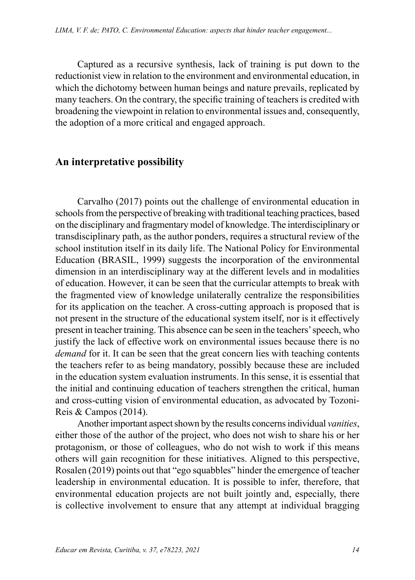Captured as a recursive synthesis, lack of training is put down to the reductionist view in relation to the environment and environmental education, in which the dichotomy between human beings and nature prevails, replicated by many teachers. On the contrary, the specific training of teachers is credited with broadening the viewpoint in relation to environmental issues and, consequently, the adoption of a more critical and engaged approach.

#### **An interpretative possibility**

Carvalho (2017) points out the challenge of environmental education in schools from the perspective of breaking with traditional teaching practices, based on the disciplinary and fragmentary model of knowledge. The interdisciplinary or transdisciplinary path, as the author ponders, requires a structural review of the school institution itself in its daily life. The National Policy for Environmental Education (BRASIL, 1999) suggests the incorporation of the environmental dimension in an interdisciplinary way at the different levels and in modalities of education. However, it can be seen that the curricular attempts to break with the fragmented view of knowledge unilaterally centralize the responsibilities for its application on the teacher. A cross-cutting approach is proposed that is not present in the structure of the educational system itself, nor is it effectively present in teacher training. This absence can be seen in the teachers' speech, who justify the lack of effective work on environmental issues because there is no *demand* for it. It can be seen that the great concern lies with teaching contents the teachers refer to as being mandatory, possibly because these are included in the education system evaluation instruments. In this sense, it is essential that the initial and continuing education of teachers strengthen the critical, human and cross-cutting vision of environmental education, as advocated by Tozoni-Reis & Campos (2014).

Another important aspect shown by the results concerns individual *vanities*, either those of the author of the project, who does not wish to share his or her protagonism, or those of colleagues, who do not wish to work if this means others will gain recognition for these initiatives. Aligned to this perspective, Rosalen (2019) points out that "ego squabbles" hinder the emergence of teacher leadership in environmental education. It is possible to infer, therefore, that environmental education projects are not built jointly and, especially, there is collective involvement to ensure that any attempt at individual bragging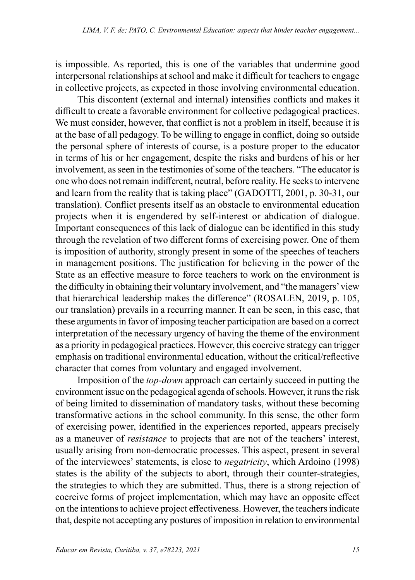is impossible. As reported, this is one of the variables that undermine good interpersonal relationships at school and make it difficult for teachers to engage in collective projects, as expected in those involving environmental education.

This discontent (external and internal) intensifies conflicts and makes it difficult to create a favorable environment for collective pedagogical practices. We must consider, however, that conflict is not a problem in itself, because it is at the base of all pedagogy. To be willing to engage in conflict, doing so outside the personal sphere of interests of course, is a posture proper to the educator in terms of his or her engagement, despite the risks and burdens of his or her involvement, as seen in the testimonies of some of the teachers. "The educator is one who does not remain indifferent, neutral, before reality. He seeks to intervene and learn from the reality that is taking place" (GADOTTI, 2001, p. 30-31, our translation). Conflict presents itself as an obstacle to environmental education projects when it is engendered by self-interest or abdication of dialogue. Important consequences of this lack of dialogue can be identified in this study through the revelation of two different forms of exercising power. One of them is imposition of authority, strongly present in some of the speeches of teachers in management positions. The justification for believing in the power of the State as an effective measure to force teachers to work on the environment is the difficulty in obtaining their voluntary involvement, and "the managers' view that hierarchical leadership makes the difference" (ROSALEN, 2019, p. 105, our translation) prevails in a recurring manner. It can be seen, in this case, that these arguments in favor of imposing teacher participation are based on a correct interpretation of the necessary urgency of having the theme of the environment as a priority in pedagogical practices. However, this coercive strategy can trigger emphasis on traditional environmental education, without the critical/reflective character that comes from voluntary and engaged involvement.

Imposition of the *top-down* approach can certainly succeed in putting the environment issue on the pedagogical agenda of schools. However, it runs the risk of being limited to dissemination of mandatory tasks, without these becoming transformative actions in the school community. In this sense, the other form of exercising power, identified in the experiences reported, appears precisely as a maneuver of *resistance* to projects that are not of the teachers' interest, usually arising from non-democratic processes. This aspect, present in several of the interviewees' statements, is close to *negatricity*, which Ardoino (1998) states is the ability of the subjects to abort, through their counter-strategies, the strategies to which they are submitted. Thus, there is a strong rejection of coercive forms of project implementation, which may have an opposite effect on the intentions to achieve project effectiveness. However, the teachers indicate that, despite not accepting any postures of imposition in relation to environmental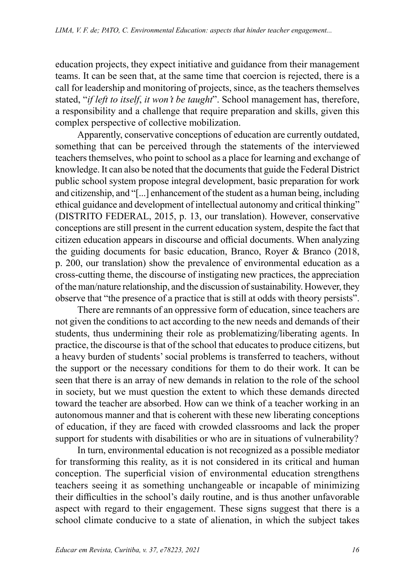education projects, they expect initiative and guidance from their management teams. It can be seen that, at the same time that coercion is rejected, there is a call for leadership and monitoring of projects, since, as the teachers themselves stated, "*if left to itself*, *it won't be taught*". School management has, therefore, a responsibility and a challenge that require preparation and skills, given this complex perspective of collective mobilization.

Apparently, conservative conceptions of education are currently outdated, something that can be perceived through the statements of the interviewed teachers themselves, who point to school as a place for learning and exchange of knowledge. It can also be noted that the documents that guide the Federal District public school system propose integral development, basic preparation for work and citizenship, and "[...] enhancement of the student as a human being, including ethical guidance and development of intellectual autonomy and critical thinking" (DISTRITO FEDERAL, 2015, p. 13, our translation). However, conservative conceptions are still present in the current education system, despite the fact that citizen education appears in discourse and official documents. When analyzing the guiding documents for basic education, Branco, Royer & Branco (2018, p. 200, our translation) show the prevalence of environmental education as a cross-cutting theme, the discourse of instigating new practices, the appreciation of the man/nature relationship, and the discussion of sustainability. However, they observe that "the presence of a practice that is still at odds with theory persists".

There are remnants of an oppressive form of education, since teachers are not given the conditions to act according to the new needs and demands of their students, thus undermining their role as problematizing/liberating agents. In practice, the discourse is that of the school that educates to produce citizens, but a heavy burden of students' social problems is transferred to teachers, without the support or the necessary conditions for them to do their work. It can be seen that there is an array of new demands in relation to the role of the school in society, but we must question the extent to which these demands directed toward the teacher are absorbed. How can we think of a teacher working in an autonomous manner and that is coherent with these new liberating conceptions of education, if they are faced with crowded classrooms and lack the proper support for students with disabilities or who are in situations of vulnerability?

In turn, environmental education is not recognized as a possible mediator for transforming this reality, as it is not considered in its critical and human conception. The superficial vision of environmental education strengthens teachers seeing it as something unchangeable or incapable of minimizing their difficulties in the school's daily routine, and is thus another unfavorable aspect with regard to their engagement. These signs suggest that there is a school climate conducive to a state of alienation, in which the subject takes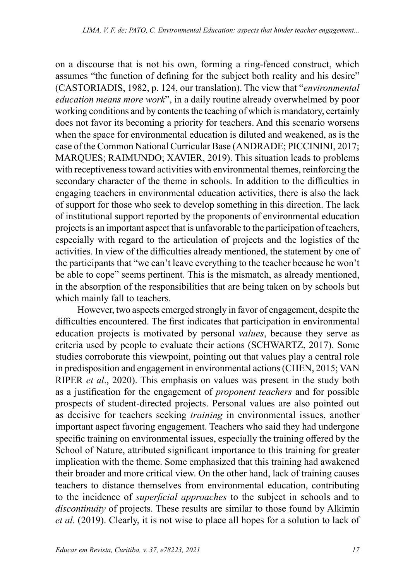on a discourse that is not his own, forming a ring-fenced construct, which assumes "the function of defining for the subject both reality and his desire" (CASTORIADIS, 1982, p. 124, our translation). The view that "*environmental education means more work*", in a daily routine already overwhelmed by poor working conditions and by contents the teaching of which is mandatory, certainly does not favor its becoming a priority for teachers. And this scenario worsens when the space for environmental education is diluted and weakened, as is the case of the Common National Curricular Base (ANDRADE; PICCININI, 2017; MARQUES; RAIMUNDO; XAVIER, 2019). This situation leads to problems with receptiveness toward activities with environmental themes, reinforcing the secondary character of the theme in schools. In addition to the difficulties in engaging teachers in environmental education activities, there is also the lack of support for those who seek to develop something in this direction. The lack of institutional support reported by the proponents of environmental education projects is an important aspect that is unfavorable to the participation of teachers, especially with regard to the articulation of projects and the logistics of the activities. In view of the difficulties already mentioned, the statement by one of the participants that "we can't leave everything to the teacher because he won't be able to cope" seems pertinent. This is the mismatch, as already mentioned, in the absorption of the responsibilities that are being taken on by schools but which mainly fall to teachers.

However, two aspects emerged strongly in favor of engagement, despite the difficulties encountered. The first indicates that participation in environmental education projects is motivated by personal *values*, because they serve as criteria used by people to evaluate their actions (SCHWARTZ, 2017). Some studies corroborate this viewpoint, pointing out that values play a central role in predisposition and engagement in environmental actions (CHEN, 2015; VAN RIPER *et al*., 2020). This emphasis on values was present in the study both as a justification for the engagement of *proponent teachers* and for possible prospects of student-directed projects. Personal values are also pointed out as decisive for teachers seeking *training* in environmental issues, another important aspect favoring engagement. Teachers who said they had undergone specific training on environmental issues, especially the training offered by the School of Nature, attributed significant importance to this training for greater implication with the theme. Some emphasized that this training had awakened their broader and more critical view. On the other hand, lack of training causes teachers to distance themselves from environmental education, contributing to the incidence of *superficial approaches* to the subject in schools and to *discontinuity* of projects. These results are similar to those found by Alkimin *et al*. (2019). Clearly, it is not wise to place all hopes for a solution to lack of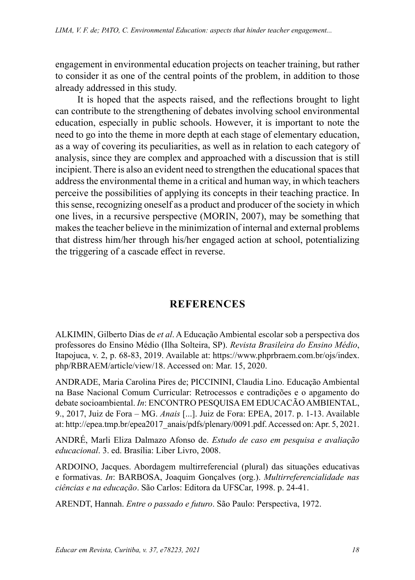engagement in environmental education projects on teacher training, but rather to consider it as one of the central points of the problem, in addition to those already addressed in this study.

It is hoped that the aspects raised, and the reflections brought to light can contribute to the strengthening of debates involving school environmental education, especially in public schools. However, it is important to note the need to go into the theme in more depth at each stage of elementary education, as a way of covering its peculiarities, as well as in relation to each category of analysis, since they are complex and approached with a discussion that is still incipient. There is also an evident need to strengthen the educational spaces that address the environmental theme in a critical and human way, in which teachers perceive the possibilities of applying its concepts in their teaching practice. In this sense, recognizing oneself as a product and producer of the society in which one lives, in a recursive perspective (MORIN, 2007), may be something that makes the teacher believe in the minimization of internal and external problems that distress him/her through his/her engaged action at school, potentializing the triggering of a cascade effect in reverse.

# **REFERENCES**

ALKIMIN, Gilberto Dias de *et al*. A Educação Ambiental escolar sob a perspectiva dos professores do Ensino Médio (Ilha Solteira, SP). *Revista Brasileira do Ensino Médio*, Itapojuca, v. 2, p. 68-83, 2019. Available at: [https://www.phprbraem.com.br/ojs/index.](https://www.phprbraem.com.br/ojs/index.php/RBRAEM/) [php/RBRAEM/](https://www.phprbraem.com.br/ojs/index.php/RBRAEM/)article/view/18. Accessed on: Mar. 15, 2020.

ANDRADE, Maria Carolina Pires de; PICCININI, Claudia Lino. Educação Ambiental na Base Nacional Comum Curricular: Retrocessos e contradições e o apgamento do debate socioambiental. *In*: ENCONTRO PESQUISA EM EDUCACÃO AMBIENTAL, 9., 2017, Juiz de Fora – MG. *Anais* [...]. Juiz de Fora: EPEA, 2017. p. 1-13. Available at: [http://epea.tmp.br/epea2017\\_anais/pdfs/plenary/0091.pdf.](http://epea.tmp.br/epea2017_anais/pdfs/plenary/0091.pdf) Accessed on: Apr. 5, 2021.

ANDRÉ, Marli Eliza Dalmazo Afonso de. *Estudo de caso em pesquisa e avaliação educacional*. 3. ed. Brasília: Liber Livro, 2008.

ARDOINO, Jacques. Abordagem multirreferencial (plural) das situações educativas e formativas. *In*: BARBOSA, Joaquim Gonçalves (org.). *Multirreferencialidade nas ciências e na educação*. São Carlos: Editora da UFSCar, 1998. p. 24-41.

ARENDT, Hannah. *Entre o passado e futuro*. São Paulo: Perspectiva, 1972.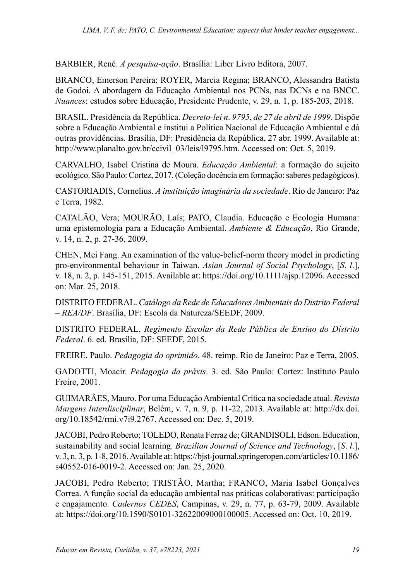BARBIER, René. *A pesquisa-ação*. Brasília: Liber Livro Editora, 2007.

BRANCO, Emerson Pereira; ROYER, Marcia Regina; BRANCO, Alessandra Batista de Godoi. A abordagem da Educação Ambiental nos PCNs, nas DCNs e na BNCC. *Nuances*: estudos sobre Educação, Presidente Prudente, v. 29, n. 1, p. 185-203, 2018.

BRASIL. Presidência da República. *Decreto-lei n*. *9795*, *de 27 de abril de 1999*. Dispõe sobre a Educação Ambiental e institui a Política Nacional de Educação Ambiental e dá outras providências. Brasília, DF: Presidência da República, 27 abr. 1999. Available at: [http://www.planalto.gov.br/ccivil\\_03/leis/l9795.htm](http://www.planalto.gov.br/ccivil_03/leis/l9795.htm). Accessed on: Oct. 5, 2019.

CARVALHO, Isabel Cristina de Moura. *Educação Ambiental*: a formação do sujeito ecológico. São Paulo: Cortez, 2017.(Coleção docência em formação: saberes pedagógicos).

CASTORIADIS, Cornelius. *A instituição imaginária da sociedade*. Rio de Janeiro: Paz e Terra, 1982.

CATALÃO, Vera; MOURÃO, Laís; PATO, Claudia. Educação e Ecologia Humana: uma epistemologia para a Educação Ambiental. *Ambiente & Educação*, Rio Grande, v. 14, n. 2, p. 27-36, 2009.

CHEN, Mei Fang. An examination of the value-belief-norm theory model in predicting pro-environmental behaviour in Taiwan. *Asian Journal of Social Psychology*, [*S*. *l*.], v. 18, n. 2, p. 145-151, 2015. Available at: [https://doi.org/10.1111/ajsp.12096.](https://doi.org/10.1111/ajsp.12096) Accessed on: Mar. 25, 2018.

DISTRITO FEDERAL. *Catálogo da Rede de Educadores Ambientais do Distrito Federal – REA/DF*. Brasília, DF: Escola da Natureza/SEEDF, 2009.

DISTRITO FEDERAL. *Regimento Escolar da Rede Pública de Ensino do Distrito Federal*. 6. ed. Brasília, DF: SEEDF, 2015.

FREIRE. Paulo. *Pedagogia do oprimido*. 48. reimp. Rio de Janeiro: Paz e Terra, 2005.

GADOTTI, Moacir. *Pedagogia da práxis*. 3. ed. São Paulo: Cortez: Instituto Paulo Freire, 2001.

GUIMARÃES, Mauro. Por uma Educação Ambiental Crítica na sociedade atual. *Revista Margens Interdisciplinar*, Belém, v. 7, n. 9, p. 11-22, 2013. Available at: [http://dx.doi.](http://dx.doi.org/10.18542/rmi.v7i9.2767) [org/10.18542/rmi.v7i9.2767](http://dx.doi.org/10.18542/rmi.v7i9.2767). Accessed on: Dec. 5, 2019.

JACOBI, Pedro Roberto; TOLEDO, Renata Ferraz de; GRANDISOLI, Edson. Education, sustainability and social learning. *Brazilian Journal of Science and Technology*, [*S*. *l*.], v. 3, n. 3, p. 1-8, 2016. Available at: [https://bjst-journal.springeropen.com/articles/10.1186/](https://bjst-journal.springeropen.com/articles/10.1186/s40552-016-0019-2) [s40552-016-0019-2.](https://bjst-journal.springeropen.com/articles/10.1186/s40552-016-0019-2) Accessed on: Jan. 25, 2020.

JACOBI, Pedro Roberto; TRISTÃO, Martha; FRANCO, Maria Isabel Gonçalves Correa. A função social da educação ambiental nas práticas colaborativas: participação e engajamento. *Cadernos CEDES*, Campinas, v. 29, n. 77, p. 63-79, 2009. Available at: <https://doi.org/10.1590/S0101-32622009000100005>. Accessed on: Oct. 10, 2019.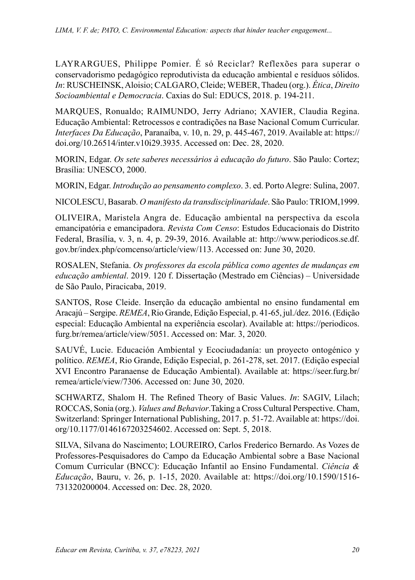LAYRARGUES, Philippe Pomier. É só Reciclar? Reflexões para superar o conservadorismo pedagógico reprodutivista da educação ambiental e resíduos sólidos. *In*: RUSCHEINSK, Aloisio; CALGARO, Cleide; WEBER, Thadeu (org.). *Ética*, *Direito Socioambiental e Democracia*. Caxias do Sul: EDUCS, 2018. p. 194-211.

MARQUES, Ronualdo; RAIMUNDO, Jerry Adriano; XAVIER, Claudia Regina. Educação Ambiental: Retrocessos e contradições na Base Nacional Comum Curricular. *Interfaces Da Educação*, Paranaíba, v. 10, n. 29, p. 445-467, 2019. Available at: [https://](https://doi.org/10.26514/inter.v10i29.3935) [doi.org/10.26514/inter.v10i29.3935.](https://doi.org/10.26514/inter.v10i29.3935) Accessed on: Dec. 28, 2020.

MORIN, Edgar. *Os sete saberes necessários à educação do futuro*. São Paulo: Cortez; Brasília: UNESCO, 2000.

MORIN, Edgar. *Introdução ao pensamento complexo*. 3. ed. Porto Alegre: Sulina, 2007.

NICOLESCU, Basarab. *O manifesto da transdisciplinaridade*. São Paulo: TRIOM,1999.

OLIVEIRA, Maristela Angra de. Educação ambiental na perspectiva da escola emancipatória e emancipadora. *Revista Com Censo*: Estudos Educacionais do Distrito Federal, Brasília, v. 3, n. 4, p. 29-39, 2016. Available at: [http://www.periodicos.se.df.](http://www.periodicos.se.df.gov.br/index.php/comcenso/article/view/113) [gov.br/index.php/comcenso/article/view/113.](http://www.periodicos.se.df.gov.br/index.php/comcenso/article/view/113) Accessed on: June 30, 2020.

ROSALEN, Stefania. *Os professores da escola pública como agentes de mudanças em educação ambiental*. 2019. 120 f. Dissertação (Mestrado em Ciências) – Universidade de São Paulo, Piracicaba, 2019.

SANTOS, Rose Cleide. Inserção da educação ambiental no ensino fundamental em Aracajú – Sergipe. *REMEA*,Rio Grande, Edição Especial, p. 41-65, jul./dez. 2016. (Edição especial: Educação Ambiental na experiência escolar). Available at: [https://periodicos.](https://periodicos.furg.br/remea/article/view/5051) [furg.br/remea/article/view/5051](https://periodicos.furg.br/remea/article/view/5051). Accessed on: Mar. 3, 2020.

SAUVÉ, Lucie. Educación Ambiental y Ecociudadanía: un proyecto ontogénico y político. *REMEA*, Rio Grande, Edição Especial, p. 261-278, set. 2017. (Edição especial XVI Encontro Paranaense de Educação Ambiental). Available at: [https://seer.furg.br/](https://seer.furg.br/remea/article/view/7306) [remea/article/view/7306](https://seer.furg.br/remea/article/view/7306). Accessed on: June 30, 2020.

SCHWARTZ, Shalom H. The Refined Theory of Basic Values. *In*: SAGIV, Lilach; ROCCAS, Sonia (org.). *Values and Behavior*.Taking a Cross Cultural Perspective. Cham, Switzerland: Springer International Publishing, 2017. p. 51-72. Available at: [https://doi.](https://doi.org/10.1177/0146167203254602) [org/10.1177/0146167203254602](https://doi.org/10.1177/0146167203254602). Accessed on: Sept. 5, 2018.

SILVA, Silvana do Nascimento; LOUREIRO, Carlos Frederico Bernardo. As Vozes de Professores-Pesquisadores do Campo da Educação Ambiental sobre a Base Nacional Comum Curricular (BNCC): Educação Infantil ao Ensino Fundamental. *Ciência & Educação*, Bauru, v. 26, p. 1-15, 2020. Available at: [https://doi.org/10.1590/1516-](https://doi.org/10.1590/1516-731320200004) [731320200004.](https://doi.org/10.1590/1516-731320200004) Accessed on: Dec. 28, 2020.